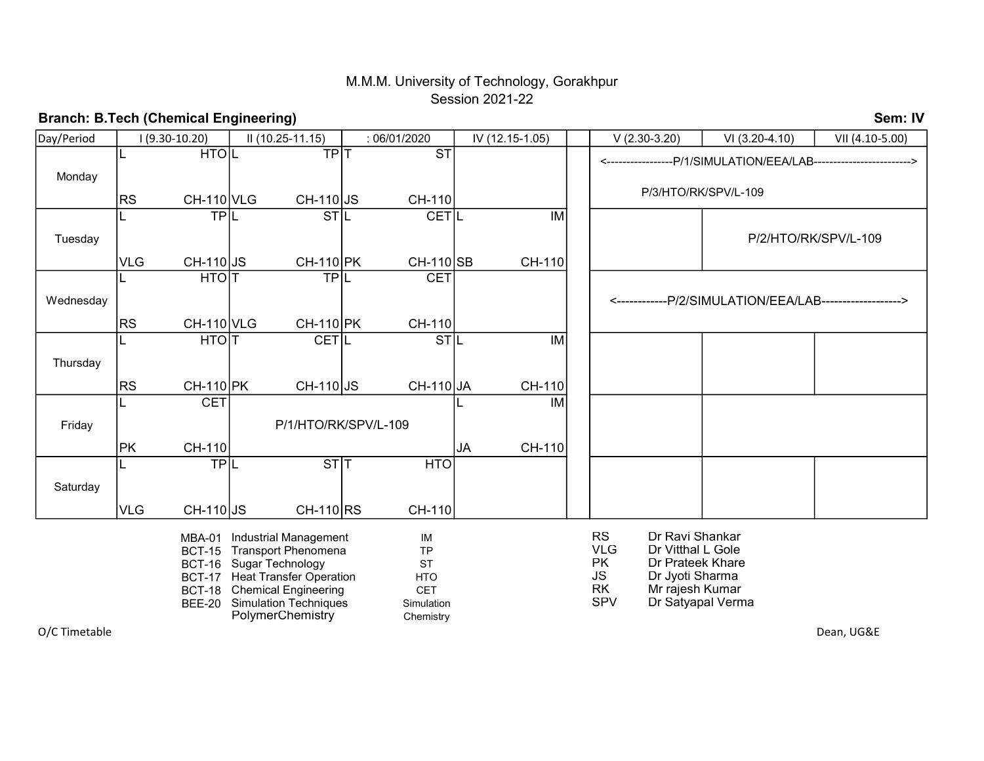## M.M.M. University of Technology, Gorakhpur Session 2021-22

#### Day/Period <-----------------P/1/SIMULATION/EEA/LAB-------------------------> P/3/HTO/RK/SPV/L-109 P/1/HTO/RK/SPV/L-109 Wednesday Saturday  $TPL$   $STI$ L IM PK Friday  $CH-110$ JA I (9.30-10.20) II (10.25-11.15) : 06/01/2020 IV (12.15-1.05) V (2.30-3.20) VI (3.20-4.10) VII (4.10-5.00) Monday **HTOIL Thursday**  $VLG$  CH-110 JS CH-110 RS L TPIL  $VLG$   $CH-110|JS$ Tuesday  $RS$  CH-110 VLG  $\overline{\mathsf{IM}}$ CH-110 L STL  $CH-110$  JS CH-110 SB JS CH-110 PK **CETIL** CH-110 TP<sub>IT</sub> <------------P/2/SIMULATION/EEA/LAB-------------------> P/2/HTO/RK/SPV/L-109 ST T TPL CH-110 L CH-110  $STL$  $CH-110$  JS CH-110 **CET CET** JA CH-110 L HTO**IT**  $|RS \t\t CH-110|VLG$ **HTO** CH-110 HTOIT CETIL  $|RS \t\t CH-110|PK$  $CH-110$  PK L HTO T CET L STL IM  $CH-110$

O/C Timetable

Branch: B.Tech (Chemical Engineering)

Dean, UG&E

Sem: IV

PolymerChemistry Chemistry

MBA-01 Industrial Management MIN MINITY IM RS Dr Ravi Shankar

- 
- BCT-15 Transport Phenomena TP TP TRICH TRICH TRICH TRICH Dr Vitthal L Gole BCT-16 Sugar Technology **EXECT-16** Sugar Technology **PK** Dr Prateek Khare BCT-17 Heat Transfer Operation HTO HTO JS Dr Jyoti Sharma
- BCT-18 CET RK Mr rajesh Kumar Chemical Engineering
- BEE-20 Simulation Techniques Simulation SIMU SPV Dr Satyapal Verma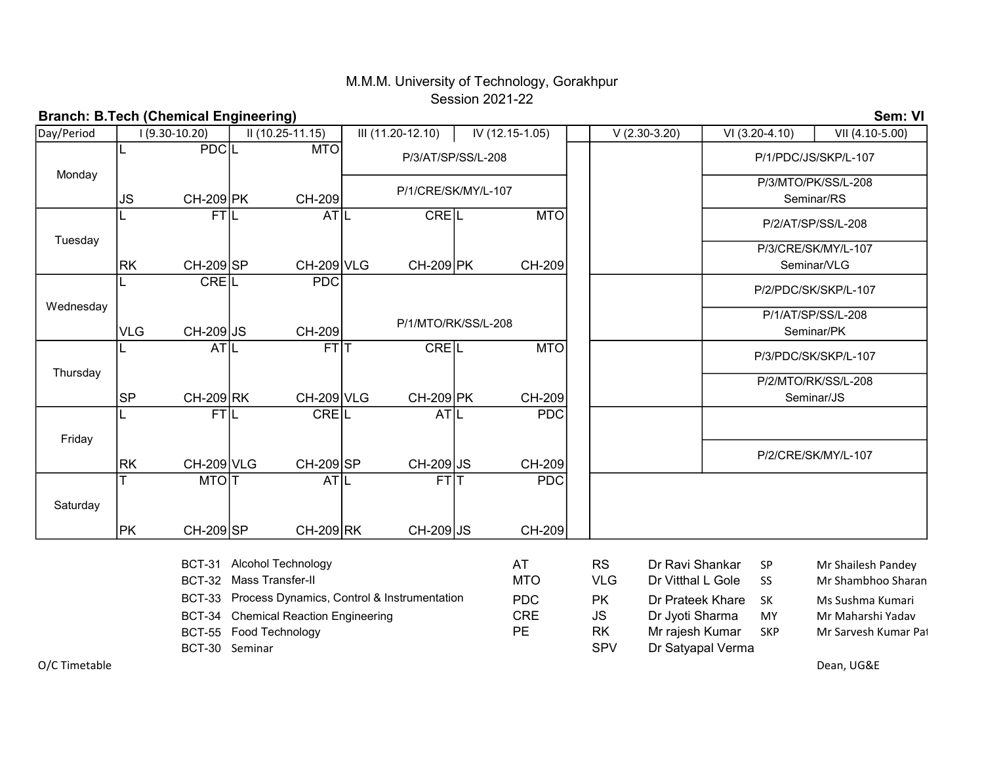## M.M.M. University of Technology, Gorakhpur Session 2021-22

| <b>Branch: B.Tech (Chemical Engineering)</b> |                                                                                                                                       |                                                                                  |                        |                    |                     |                         |                  |                                |                                      |                                                                             |                                                          |                                    |                                           | Sem: VI                                                      |  |
|----------------------------------------------|---------------------------------------------------------------------------------------------------------------------------------------|----------------------------------------------------------------------------------|------------------------|--------------------|---------------------|-------------------------|------------------|--------------------------------|--------------------------------------|-----------------------------------------------------------------------------|----------------------------------------------------------|------------------------------------|-------------------------------------------|--------------------------------------------------------------|--|
| Day/Period                                   |                                                                                                                                       | 1 (9.30-10.20)<br>II (10.25-11.15)                                               |                        |                    | III (11.20-12.10)   |                         |                  | IV (12.15-1.05)                |                                      |                                                                             | $V(2.30-3.20)$                                           |                                    | VI (3.20-4.10)                            | VII (4.10-5.00)                                              |  |
|                                              |                                                                                                                                       | <b>PDCL</b>                                                                      |                        | <b>MTO</b>         | P/3/AT/SP/SS/L-208  |                         |                  |                                |                                      |                                                                             |                                                          | P/1/PDC/JS/SKP/L-107               |                                           |                                                              |  |
| Monday                                       | <b>JS</b>                                                                                                                             | <b>CH-209 PK</b>                                                                 | CH-209                 |                    | P/1/CRE/SK/MY/L-107 |                         |                  |                                |                                      | P/3/MTO/PK/SS/L-208<br>Seminar/RS                                           |                                                          |                                    |                                           |                                                              |  |
|                                              |                                                                                                                                       | <b>FTIL</b>                                                                      |                        | AT L               | <b>CREIL</b>        |                         |                  | <b>MTO</b>                     |                                      |                                                                             |                                                          | P/2/AT/SP/SS/L-208                 |                                           |                                                              |  |
| Tuesday                                      | <b>RK</b>                                                                                                                             | CH-209 SP                                                                        |                        |                    | <b>CH-209 VLG</b>   | CH-209 PK               |                  |                                | CH-209                               |                                                                             |                                                          | P/3/CRE/SK/MY/L-107<br>Seminar/VLG |                                           |                                                              |  |
|                                              |                                                                                                                                       | CREL                                                                             |                        | <b>PDC</b>         |                     |                         |                  |                                |                                      |                                                                             |                                                          |                                    |                                           | P/2/PDC/SK/SKP/L-107                                         |  |
| Wednesday                                    | <b>VLG</b>                                                                                                                            | CH-209 JS                                                                        | CH-209                 |                    | P/1/MTO/RK/SS/L-208 |                         |                  |                                |                                      |                                                                             |                                                          | P/1/AT/SP/SS/L-208<br>Seminar/PK   |                                           |                                                              |  |
|                                              |                                                                                                                                       | <b>ATIL</b>                                                                      |                        | $FT \overline{T} $ |                     | <b>CREL</b>             |                  | <b>MTO</b>                     |                                      |                                                                             |                                                          |                                    |                                           | P/3/PDC/SK/SKP/L-107                                         |  |
| Thursday                                     |                                                                                                                                       |                                                                                  |                        |                    |                     |                         |                  |                                |                                      |                                                                             |                                                          | P/2/MTO/RK/SS/L-208                |                                           |                                                              |  |
|                                              | <b>SP</b>                                                                                                                             | CH-209 RK<br><b>FTIL</b>                                                         |                        | <b>CREIL</b>       | CH-209 VLG          | <b>CH-209 PK</b><br>ATL |                  | CH-209<br><b>PDC</b>           |                                      |                                                                             | Seminar/JS                                               |                                    |                                           |                                                              |  |
| Friday                                       |                                                                                                                                       |                                                                                  |                        |                    |                     |                         |                  |                                |                                      |                                                                             |                                                          |                                    |                                           |                                                              |  |
|                                              | <b>RK</b>                                                                                                                             | <b>CH-209 VLG</b>                                                                | CH-209 SP              |                    |                     | CH-209 JS               |                  | CH-209                         |                                      |                                                                             |                                                          | P/2/CRE/SK/MY/L-107                |                                           |                                                              |  |
| Saturday                                     |                                                                                                                                       | <b>MTOTT</b>                                                                     |                        | AT L               |                     | <b>FTIT</b>             |                  | <b>PDC</b>                     |                                      |                                                                             |                                                          |                                    |                                           |                                                              |  |
|                                              | <b>PK</b>                                                                                                                             | CH-209 SP                                                                        | $CH-209$ <sub>RK</sub> |                    |                     | CH-209 JS               |                  | CH-209                         |                                      |                                                                             |                                                          |                                    |                                           |                                                              |  |
|                                              | <b>Alcohol Technology</b><br><b>BCT-31</b><br>BCT-32 Mass Transfer-II<br>Process Dynamics, Control & Instrumentation<br><b>BCT-33</b> |                                                                                  |                        |                    |                     |                         |                  | AT<br><b>MTO</b><br><b>PDC</b> |                                      | <b>RS</b><br><b>VLG</b><br><b>PK</b>                                        | Dr Ravi Shankar<br>Dr Vitthal L Gole<br>Dr Prateek Khare |                                    | SP<br>SS<br><b>SK</b>                     | Mr Shailesh Pandey<br>Mr Shambhoo Sharan<br>Ms Sushma Kumari |  |
|                                              |                                                                                                                                       | BCT-34 Chemical Reaction Engineering<br>BCT-55 Food Technology<br>BCT-30 Seminar |                        |                    |                     |                         | <b>CRE</b><br>PE |                                | <b>JS</b><br><b>RK</b><br><b>SPV</b> | Dr Jyoti Sharma<br>MY<br>Mr rajesh Kumar<br><b>SKP</b><br>Dr Satyapal Verma |                                                          |                                    | Mr Maharshi Yadav<br>Mr Sarvesh Kumar Pat |                                                              |  |
| O/C Timetable                                |                                                                                                                                       |                                                                                  |                        |                    |                     |                         |                  |                                |                                      |                                                                             |                                                          |                                    |                                           | Dean, UG&E                                                   |  |